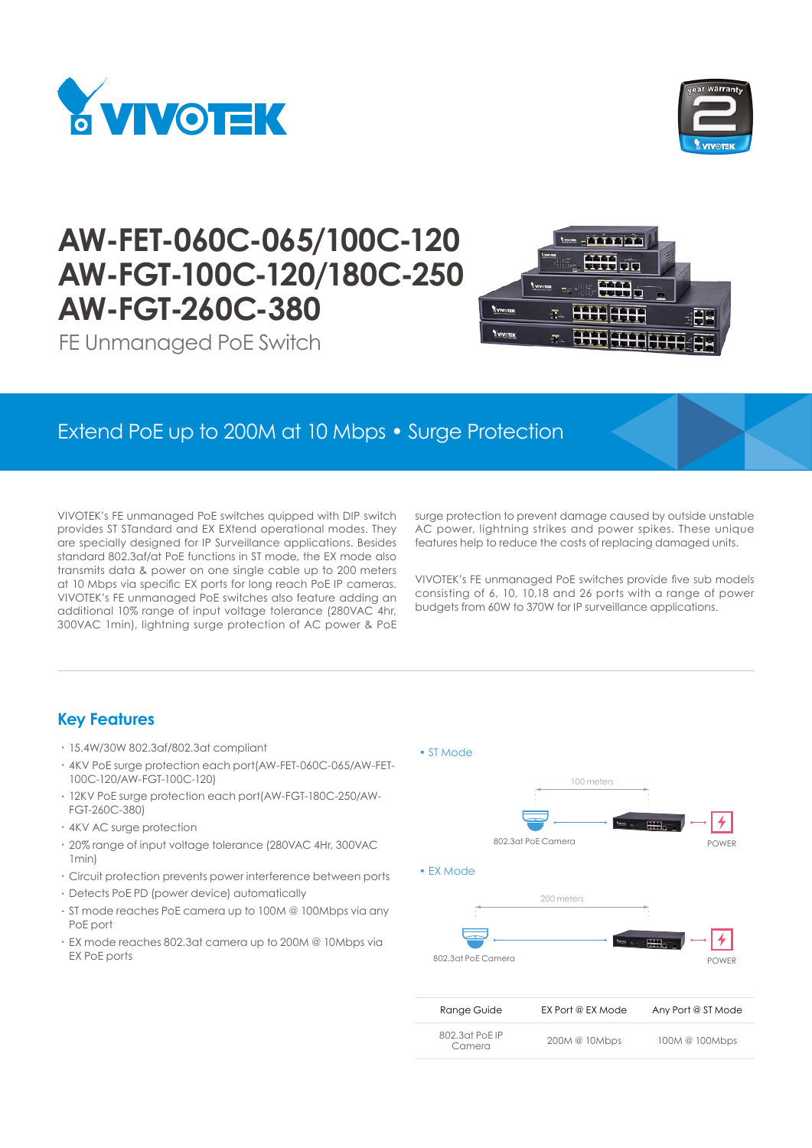



# **AW-FET-060C-065/100C-120 AW-FGT-100C-120/180C-250 AW-FGT-260C-380**



FE Unmanaged PoE Switch

## Extend PoE up to 200M at 10 Mbps • Surge Protection

VIVOTEK's FE unmanaged PoE switches quipped with DIP switch provides ST STandard and EX EXtend operational modes. They are specially designed for IP Surveillance applications. Besides standard 802.3af/at PoE functions in ST mode, the EX mode also transmits data & power on one single cable up to 200 meters at 10 Mbps via specific EX ports for long reach PoE IP cameras. VIVOTEK's FE unmanaged PoE switches also feature adding an additional 10% range of input voltage tolerance (280VAC 4hr, 300VAC 1min), lightning surge protection of AC power & PoE

surge protection to prevent damage caused by outside unstable AC power, lightning strikes and power spikes. These unique features help to reduce the costs of replacing damaged units.

VIVOTEK's FE unmanaged PoE switches provide five sub models consisting of 6, 10, 10,18 and 26 ports with a range of power budgets from 60W to 370W for IP surveillance applications.

#### **Key Features**

- • 15.4W/30W 802.3af/802.3at compliant
- 4KV PoE surge protection each port(AW-FET-060C-065/AW-FET-100C-120/AW-FGT-100C-120)
- • 12KV PoE surge protection each port(AW-FGT-180C-250/AW-FGT-260C-380)
- • 4KV AC surge protection
- • 20% range of input voltage tolerance (280VAC 4Hr, 300VAC 1min)
- Circuit protection prevents power interference between ports
- • Detects PoE PD (power device) automatically
- • ST mode reaches PoE camera up to 100M @ 100Mbps via any PoE port
- • EX mode reaches 802.3at camera up to 200M @ 10Mbps via EX PoE ports

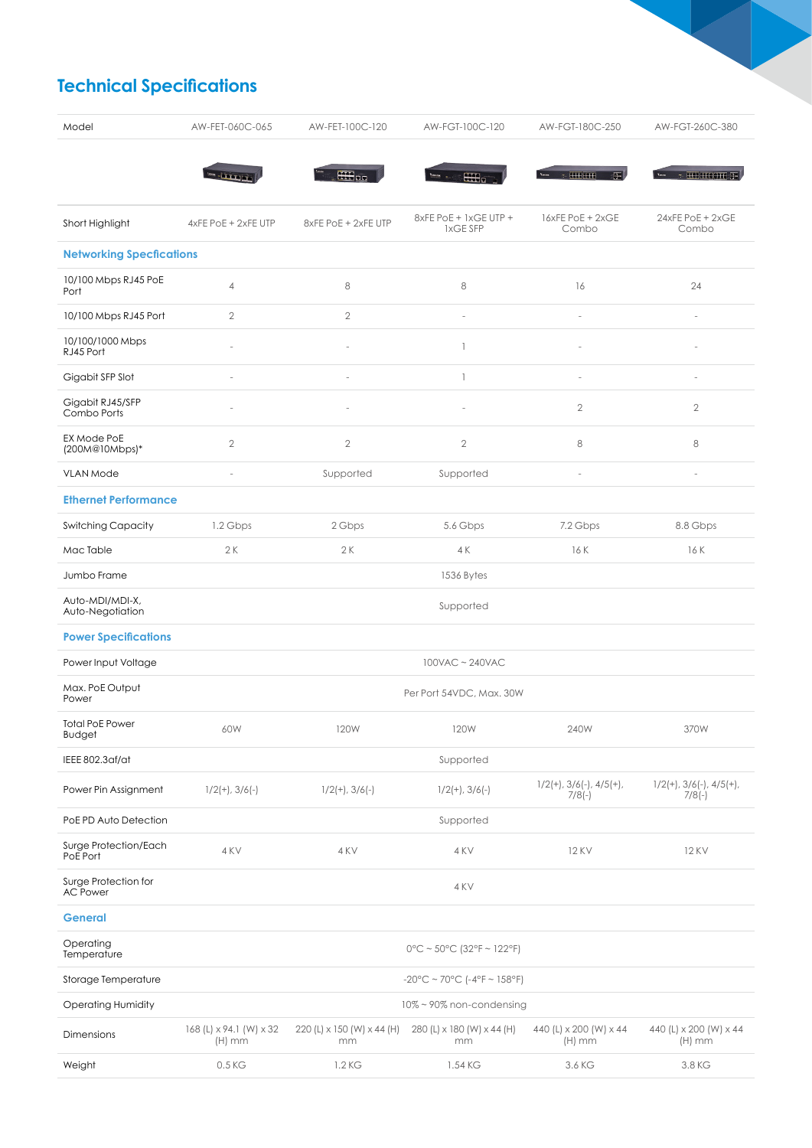## **Technical Specifications**

| Model                                   | AW-FET-060C-065                       | AW-FET-100C-120                  | AW-FGT-100C-120                   | AW-FGT-180C-250                              | AW-FGT-260C-380                              |  |
|-----------------------------------------|---------------------------------------|----------------------------------|-----------------------------------|----------------------------------------------|----------------------------------------------|--|
|                                         | <b>CERTIFICA</b>                      | <b>Hilbert</b>                   | <b>CHT</b>                        |                                              | <b>BE SHORES OF SHOP</b>                     |  |
| Short Highlight                         | 4xFE PoE + 2xFE UTP                   | 8xFE PoE + 2xFE UTP              | 8xFE PoE + 1xGE UTP +<br>1xGE SFP | 16xFE PoE + 2xGE<br>Combo                    | 24xFE PoE + 2xGE<br>Combo                    |  |
| <b>Networking Specfications</b>         |                                       |                                  |                                   |                                              |                                              |  |
| 10/100 Mbps RJ45 PoE<br>Port            | $\overline{4}$                        | 8                                | 8                                 | 16                                           | 24                                           |  |
| 10/100 Mbps RJ45 Port                   | $\mathbf{2}$                          | $\overline{2}$                   | i.                                | $\overline{a}$                               | $\frac{1}{2}$                                |  |
| 10/100/1000 Mbps<br>RJ45 Port           | i.                                    |                                  | $\mathbf{1}$                      |                                              |                                              |  |
| Gigabit SFP Slot                        | J.                                    | J.                               | $\mathbf{1}$                      | ÷,                                           | ÷,                                           |  |
| Gigabit RJ45/SFP<br>Combo Ports         | L                                     |                                  |                                   | $\mathbf{2}$                                 | $\mathbf{2}$                                 |  |
| EX Mode PoE<br>(200M@10Mbps)*           | $\overline{2}$                        | $\mathbf{2}$                     | $\mathbf{2}$                      | 8                                            | 8                                            |  |
| <b>VLAN Mode</b>                        | i,                                    | Supported                        | Supported                         | ٠                                            | $\sim$                                       |  |
| <b>Ethernet Performance</b>             |                                       |                                  |                                   |                                              |                                              |  |
| <b>Switching Capacity</b>               | 1.2 Gbps                              | 2 Gbps                           | 5.6 Gbps                          | 7.2 Gbps                                     | 8.8 Gbps                                     |  |
| Mac Table                               | 2K                                    | 2K                               | 4 K                               | 16 K                                         | 16 K                                         |  |
| Jumbo Frame                             |                                       |                                  | 1536 Bytes                        |                                              |                                              |  |
| Auto-MDI/MDI-X,<br>Auto-Negotiation     | Supported                             |                                  |                                   |                                              |                                              |  |
| <b>Power Specifications</b>             |                                       |                                  |                                   |                                              |                                              |  |
| Power Input Voltage                     | 100VAC ~ 240VAC                       |                                  |                                   |                                              |                                              |  |
| Max. PoE Output<br>Power                | Per Port 54VDC, Max. 30W              |                                  |                                   |                                              |                                              |  |
| <b>Total PoE Power</b><br>Budget        | 60W                                   | 120W                             | <b>120W</b>                       | 240W                                         | 370W                                         |  |
| IEEE 802.3af/at                         | Supported                             |                                  |                                   |                                              |                                              |  |
| Power Pin Assignment                    | $1/2(+)$ , $3/6(-)$                   | $1/2(+)$ , $3/6(-)$              | $1/2(+)$ , $3/6(-)$               | $1/2(+)$ , $3/6(-)$ , $4/5(+)$ ,<br>$7/8(-)$ | $1/2(+)$ , $3/6(-)$ , $4/5(+)$ ,<br>$7/8(-)$ |  |
| PoE PD Auto Detection                   |                                       |                                  | Supported                         |                                              |                                              |  |
| Surge Protection/Each<br>PoE Port       | 4 KV                                  | 4 KV                             | 4 KV                              | <b>12 KV</b>                                 | <b>12 KV</b>                                 |  |
| Surge Protection for<br><b>AC Power</b> |                                       | 4 KV                             |                                   |                                              |                                              |  |
| <b>General</b>                          |                                       |                                  |                                   |                                              |                                              |  |
| Operating<br>Temperature                | $0^{\circ}$ C ~ 50°C (32°F ~ 122°F)   |                                  |                                   |                                              |                                              |  |
| Storage Temperature                     | $-20^{\circ}$ C ~ 70°C (-4°F ~ 158°F) |                                  |                                   |                                              |                                              |  |
| <b>Operating Humidity</b>               | 10% ~ 90% non-condensing              |                                  |                                   |                                              |                                              |  |
| Dimensions                              | 168 (L) x 94.1 (W) x 32<br>$(H)$ mm   | 220 (L) x 150 (W) x 44 (H)<br>mm | 280 (L) x 180 (W) x 44 (H)<br>mm  | 440 (L) x 200 (W) x 44<br>$(H)$ mm           | 440 (L) x 200 (W) x 44<br>$(H)$ mm           |  |
| Weight                                  | 0.5 KG                                | 1.2 KG                           | 1.54 KG                           | 3.6 KG                                       | 3.8 KG                                       |  |